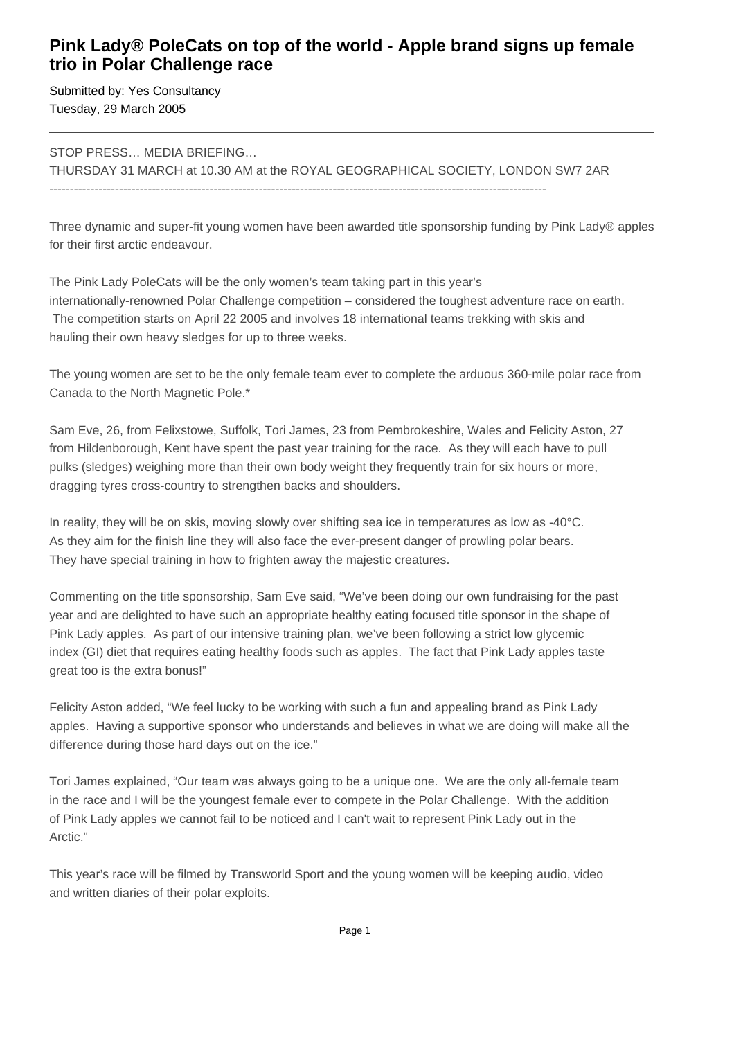## **Pink Lady® PoleCats on top of the world - Apple brand signs up female trio in Polar Challenge race**

Submitted by: Yes Consultancy Tuesday, 29 March 2005

STOP PRESS… MEDIA BRIEFING…

THURSDAY 31 MARCH at 10.30 AM at the ROYAL GEOGRAPHICAL SOCIETY, LONDON SW7 2AR  $-$ 

Three dynamic and super-fit young women have been awarded title sponsorship funding by Pink Lady® apples for their first arctic endeavour.

The Pink Lady PoleCats will be the only women's team taking part in this year's internationally-renowned Polar Challenge competition – considered the toughest adventure race on earth. The competition starts on April 22 2005 and involves 18 international teams trekking with skis and hauling their own heavy sledges for up to three weeks.

The young women are set to be the only female team ever to complete the arduous 360-mile polar race from Canada to the North Magnetic Pole.\*

Sam Eve, 26, from Felixstowe, Suffolk, Tori James, 23 from Pembrokeshire, Wales and Felicity Aston, 27 from Hildenborough, Kent have spent the past year training for the race. As they will each have to pull pulks (sledges) weighing more than their own body weight they frequently train for six hours or more, dragging tyres cross-country to strengthen backs and shoulders.

In reality, they will be on skis, moving slowly over shifting sea ice in temperatures as low as -40°C. As they aim for the finish line they will also face the ever-present danger of prowling polar bears. They have special training in how to frighten away the majestic creatures.

Commenting on the title sponsorship, Sam Eve said, "We've been doing our own fundraising for the past year and are delighted to have such an appropriate healthy eating focused title sponsor in the shape of Pink Lady apples. As part of our intensive training plan, we've been following a strict low glycemic index (GI) diet that requires eating healthy foods such as apples. The fact that Pink Lady apples taste great too is the extra bonus!"

Felicity Aston added, "We feel lucky to be working with such a fun and appealing brand as Pink Lady apples. Having a supportive sponsor who understands and believes in what we are doing will make all the difference during those hard days out on the ice."

Tori James explained, "Our team was always going to be a unique one. We are the only all-female team in the race and I will be the youngest female ever to compete in the Polar Challenge. With the addition of Pink Lady apples we cannot fail to be noticed and I can't wait to represent Pink Lady out in the Arctic."

This year's race will be filmed by Transworld Sport and the young women will be keeping audio, video and written diaries of their polar exploits.